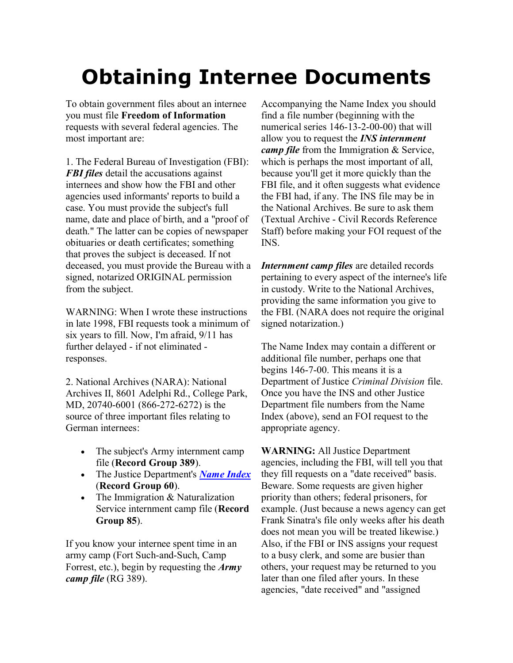## **Obtaining Internee Documents**

To obtain government files about an internee you must file **Freedom of Information** requests with several federal agencies. The most important are:

1. The Federal Bureau of Investigation (FBI): *FBI files* detail the accusations against internees and show how the FBI and other agencies used informants' reports to build a case. You must provide the subject's full name, date and place of birth, and a "proof of death." The latter can be copies of newspaper obituaries or death certificates; something that proves the subject is deceased. If not deceased, you must provide the Bureau with a signed, notarized ORIGINAL permission from the subject.

WARNING: When I wrote these instructions in late 1998, FBI requests took a minimum of six years to fill. Now, I'm afraid, 9/11 has further delayed - if not eliminated responses.

2. National Archives (NARA): National Archives II, 8601 Adelphi Rd., College Park, MD, 20740-6001 (866-272-6272) is the source of three important files relating to German internees:

- The subject's Army internment camp file (**Record Group 389**).
- The Justice Department's *[Name Index](http://www.archives.gov/research/japanese-americans/internment-files.html)* (**Record Group 60**).
- The Immigration  $& Naturalization$ Service internment camp file (**Record Group 85**).

If you know your internee spent time in an army camp (Fort Such-and-Such, Camp Forrest, etc.), begin by requesting the *Army camp file* (RG 389).

Accompanying the Name Index you should find a file number (beginning with the numerical series 146-13-2-00-00) that will allow you to request the *INS internment camp file* from the Immigration & Service, which is perhaps the most important of all, because you'll get it more quickly than the FBI file, and it often suggests what evidence the FBI had, if any. The INS file may be in the National Archives. Be sure to ask them (Textual Archive - Civil Records Reference Staff) before making your FOI request of the INS.

*Internment camp files* are detailed records pertaining to every aspect of the internee's life in custody. Write to the National Archives, providing the same information you give to the FBI. (NARA does not require the original signed notarization.)

The Name Index may contain a different or additional file number, perhaps one that begins 146-7-00. This means it is a Department of Justice *Criminal Division* file. Once you have the INS and other Justice Department file numbers from the Name Index (above), send an FOI request to the appropriate agency.

**WARNING:** All Justice Department agencies, including the FBI, will tell you that they fill requests on a "date received" basis. Beware. Some requests are given higher priority than others; federal prisoners, for example. (Just because a news agency can get Frank Sinatra's file only weeks after his death does not mean you will be treated likewise.) Also, if the FBI or INS assigns your request to a busy clerk, and some are busier than others, your request may be returned to you later than one filed after yours. In these agencies, "date received" and "assigned